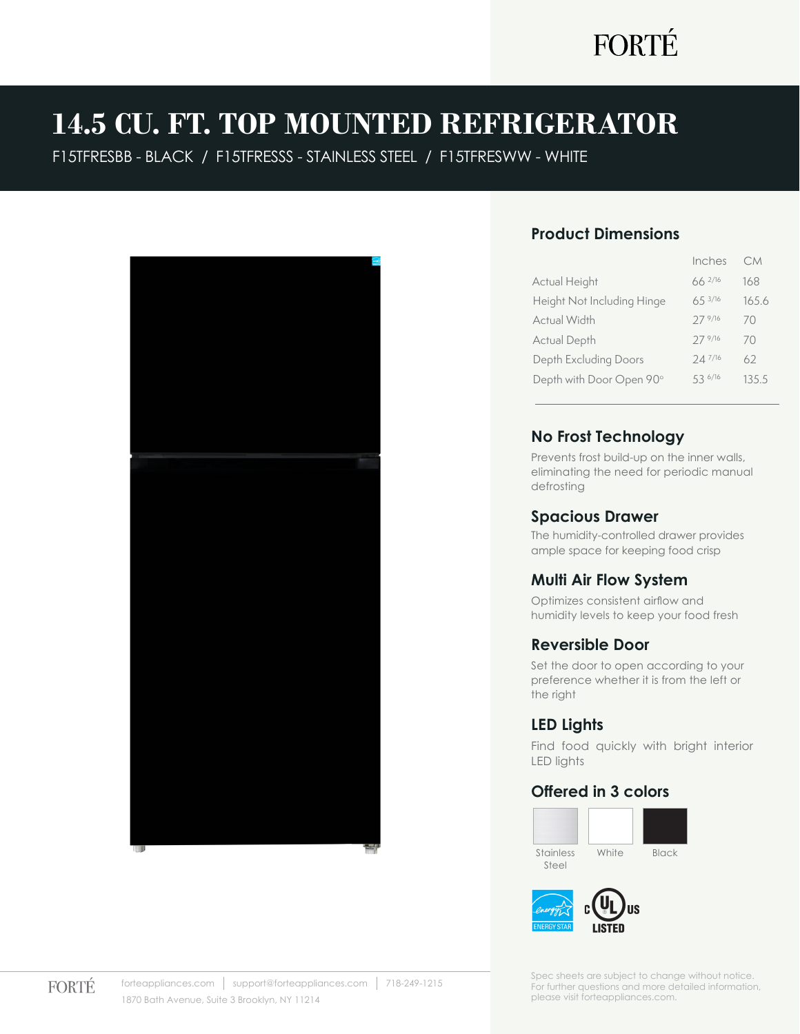## **14.5 CU. FT. TOP MOUNTED REFRIGERATOR**

F15TFRESBB - BLACK / F15TFRESSS - STAINLESS STEEL / F15TFRESWW - WHITE



### **Product Dimensions**

|                            | Inches      | <b>CM</b> |
|----------------------------|-------------|-----------|
| Actual Height              | $66^{2/16}$ | 168       |
| Height Not Including Hinge | 653/16      | 165.6     |
| Actual Width               | 27 9/16     | 70        |
| Actual Depth               | 27 9/16     | 70        |
| Depth Excluding Doors      | 247/16      | 62        |
| Depth with Door Open 90°   | 53 6/16     | 135.5     |
|                            |             |           |

### **No Frost Technology**

Prevents frost build-up on the inner walls, eliminating the need for periodic manual defrosting

### **Spacious Drawer**

The humidity-controlled drawer provides ample space for keeping food crisp

### **Multi Air Flow System**

Optimizes consistent airflow and humidity levels to keep your food fresh

### **Reversible Door**

Set the door to open according to your preference whether it is from the left or the right

### **LED Lights**

Find food quickly with bright interior LED lights

### **Offered in 3 colors**





Spec sheets are subject to change without notice. For further questions and more detailed information, please visit forteappliances.com.

**FORTÉ**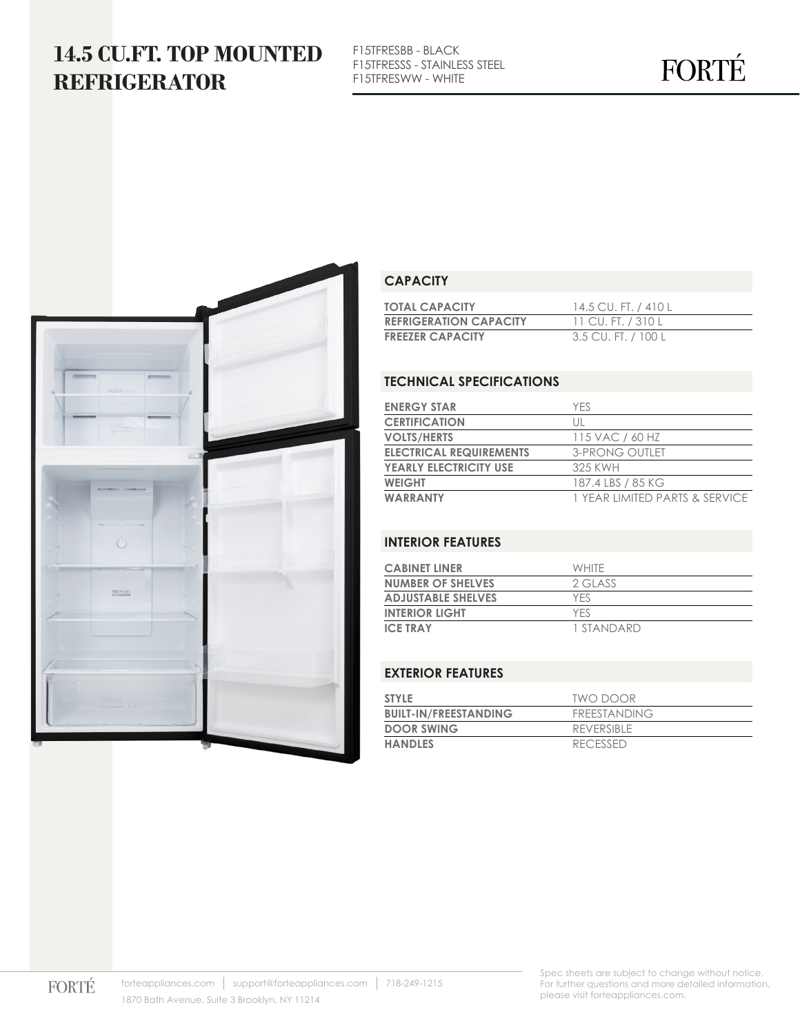### **14.5 CU.FT. TOP MOUNTED REFRIGERATOR**

F15TFRESBB - BLACK F15TFRESSS - STAINLESS STEEL F15TFRESWW - WHITE

# FORTÉ



### **CAPACITY**

| <b>TOTAL CAPACITY</b>         | 14.5 CU. FT. / 410 L |
|-------------------------------|----------------------|
| <b>REFRIGERATION CAPACITY</b> | 11 CU. FT. / 310 L   |
| <b>FREEZER CAPACITY</b>       | 3.5 CU. FT. / 100 L  |

### **TECHNICAL SPECIFICATIONS**

| <b>ENERGY STAR</b>             | <b>YFS</b>                     |
|--------------------------------|--------------------------------|
| <b>CERTIFICATION</b>           | Ш                              |
| <b>VOLTS/HERTS</b>             | 115 VAC / 60 HZ                |
| <b>ELECTRICAL REQUIREMENTS</b> | 3-PRONG OUTLET                 |
| <b>YEARLY ELECTRICITY USE</b>  | 325 KWH                        |
| <b>WEIGHT</b>                  | 187.4 LBS / 85 KG              |
| <b>WARRANTY</b>                | 1 YEAR LIMITED PARTS & SERVICE |

#### **INTERIOR FEATURES**

| <b>CABINET LINER</b>      | <b>WHITE</b> |
|---------------------------|--------------|
| <b>NUMBER OF SHELVES</b>  | 2 GLASS      |
| <b>ADJUSTABLE SHELVES</b> | YFS          |
| <b>INTERIOR LIGHT</b>     | <b>YFS</b>   |
| <b>ICE TRAY</b>           | 1 STANDARD   |

#### **EXTERIOR FEATURES**

| <b>STYLE</b>                 | TWO DOOR        |
|------------------------------|-----------------|
| <b>BUILT-IN/FREESTANDING</b> | FREESTANDING    |
| <b>DOOR SWING</b>            | REVERSIBLE      |
| <b>HANDLES</b>               | <b>RECESSED</b> |